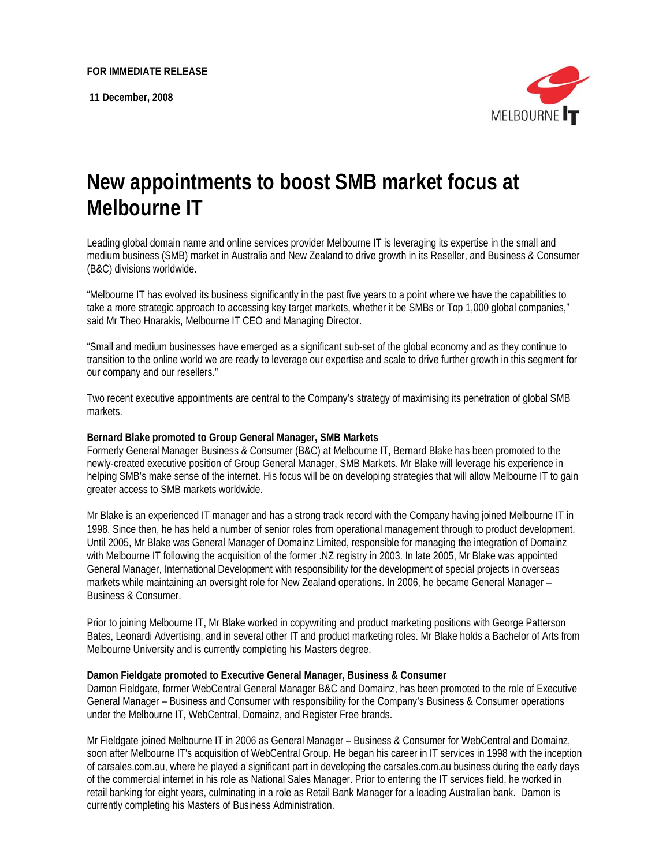**11 December, 2008** 



# **New appointments to boost SMB market focus at Melbourne IT**

Leading global domain name and online services provider Melbourne IT is leveraging its expertise in the small and medium business (SMB) market in Australia and New Zealand to drive growth in its Reseller, and Business & Consumer (B&C) divisions worldwide.

"Melbourne IT has evolved its business significantly in the past five years to a point where we have the capabilities to take a more strategic approach to accessing key target markets, whether it be SMBs or Top 1,000 global companies," said Mr Theo Hnarakis, Melbourne IT CEO and Managing Director.

"Small and medium businesses have emerged as a significant sub-set of the global economy and as they continue to transition to the online world we are ready to leverage our expertise and scale to drive further growth in this segment for our company and our resellers."

Two recent executive appointments are central to the Company's strategy of maximising its penetration of global SMB markets.

## **Bernard Blake promoted to Group General Manager, SMB Markets**

Formerly General Manager Business & Consumer (B&C) at Melbourne IT, Bernard Blake has been promoted to the newly-created executive position of Group General Manager, SMB Markets. Mr Blake will leverage his experience in helping SMB's make sense of the internet. His focus will be on developing strategies that will allow Melbourne IT to gain greater access to SMB markets worldwide.

Mr Blake is an experienced IT manager and has a strong track record with the Company having joined Melbourne IT in 1998. Since then, he has held a number of senior roles from operational management through to product development. Until 2005, Mr Blake was General Manager of Domainz Limited, responsible for managing the integration of Domainz with Melbourne IT following the acquisition of the former .NZ registry in 2003. In late 2005, Mr Blake was appointed General Manager, International Development with responsibility for the development of special projects in overseas markets while maintaining an oversight role for New Zealand operations. In 2006, he became General Manager – Business & Consumer.

Prior to joining Melbourne IT, Mr Blake worked in copywriting and product marketing positions with George Patterson Bates, Leonardi Advertising, and in several other IT and product marketing roles. Mr Blake holds a Bachelor of Arts from Melbourne University and is currently completing his Masters degree.

## **Damon Fieldgate promoted to Executive General Manager, Business & Consumer**

Damon Fieldgate, former WebCentral General Manager B&C and Domainz, has been promoted to the role of Executive General Manager – Business and Consumer with responsibility for the Company's Business & Consumer operations under the Melbourne IT, WebCentral, Domainz, and Register Free brands.

Mr Fieldgate joined Melbourne IT in 2006 as General Manager – Business & Consumer for WebCentral and Domainz, soon after Melbourne IT's acquisition of WebCentral Group. He began his career in IT services in 1998 with the inception of carsales.com.au, where he played a significant part in developing the carsales.com.au business during the early days of the commercial internet in his role as National Sales Manager. Prior to entering the IT services field, he worked in retail banking for eight years, culminating in a role as Retail Bank Manager for a leading Australian bank. Damon is currently completing his Masters of Business Administration.